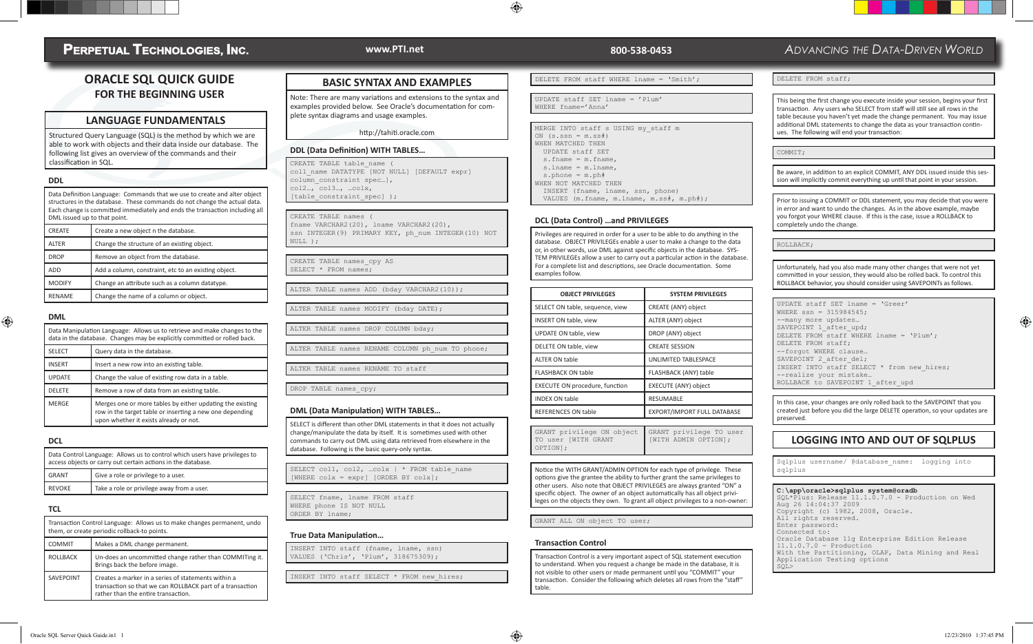## **PERPETUAL TECHNOLOGIES, INC.**

### **ORACLE SQL QUICK GUIDE FOR THE BEGINNING USER**

### **LANGUAGE FUNDAMENTALS**

Structured Query Language (SQL) is the method by which we are able to work with objects and their data inside our database. The following list gives an overview of the commands and their classification in SQL.

### **DDL**

|  | Data Definition Language: Commands that we use to create and alter object<br>structures in the database. These commands do not change the actual data.<br>Each change is committed immediately and ends the transaction including all<br>DML issued up to that point. |                                                      |  |
|--|-----------------------------------------------------------------------------------------------------------------------------------------------------------------------------------------------------------------------------------------------------------------------|------------------------------------------------------|--|
|  | <b>CREATE</b>                                                                                                                                                                                                                                                         | Create a new object n the database.                  |  |
|  | <b>ALTER</b>                                                                                                                                                                                                                                                          | Change the structure of an existing object.          |  |
|  | <b>DROP</b>                                                                                                                                                                                                                                                           | Remove an object from the database.                  |  |
|  | <b>ADD</b>                                                                                                                                                                                                                                                            | Add a column, constraint, etc to an existing object. |  |
|  | <b>MODIFY</b>                                                                                                                                                                                                                                                         | Change an attribute such as a column datatype.       |  |
|  | <b>RENAME</b>                                                                                                                                                                                                                                                         | Change the name of a column or object.               |  |

### ♠

|               | Data Manipulation Language: Allows us to retrieve and make changes to the<br>data in the database. Changes may be explicitly committed or rolled back.          |  |
|---------------|-----------------------------------------------------------------------------------------------------------------------------------------------------------------|--|
| <b>SELECT</b> | Query data in the database.                                                                                                                                     |  |
| <b>INSERT</b> | Insert a new row into an existing table.                                                                                                                        |  |
| <b>UPDATE</b> | Change the value of existing row data in a table.                                                                                                               |  |
| <b>DELETE</b> | Remove a row of data from an existing table.                                                                                                                    |  |
| <b>MERGE</b>  | Merges one or more tables by either updating the existing<br>row in the target table or inserting a new one depending<br>upon whether it exists already or not. |  |

#### **DCL**

**DML**

| Data Control Language: Allows us to control which users have privileges to<br>access objects or carry out certain actions in the database. |                                            |  |
|--------------------------------------------------------------------------------------------------------------------------------------------|--------------------------------------------|--|
| <b>GRANT</b>                                                                                                                               | Give a role or privilege to a user.        |  |
| <b>REVOKE</b>                                                                                                                              | Take a role or privilege away from a user. |  |

#### **TCL**

|                  | Transaction Control Language: Allows us to make changes permanent, undo<br>them, or create periodic rollback-to points.                                 |  |
|------------------|---------------------------------------------------------------------------------------------------------------------------------------------------------|--|
| <b>COMMIT</b>    | Makes a DML change permanent.                                                                                                                           |  |
| <b>ROLLBACK</b>  | Un-does an uncommitted change rather than COMMITing it.<br>Brings back the before image.                                                                |  |
| <b>SAVEPOINT</b> | Creates a marker in a series of statements within a<br>transaction so that we can ROLLBACK part of a transaction<br>rather than the entire transaction. |  |

### **BASIC SYNTAX AND EXAMPLES**

Note: There are many variations and extensions to the syntax and examples provided below. See Oracle's documentation for complete syntax diagrams and usage examples.

http://tahiti.oracle.com

#### **DDL (Data Definition) WITH TABLES…**

CREATE TABLE table\_name ( col1 name DATATYPE [NOT NULL] [DEFAULT expr] column constraint spec...], col2…, col3…, …colx, [table constraint spec] );

CREATE TABLE names ( fname VARCHAR2(20), lname VARCHAR2(20),

ssn INTEGER(9) PRIMARY KEY, ph\_num INTEGER(10) NOT NULL );

CREATE TABLE names\_cpy AS SELECT \* FROM names;

ALTER TABLE names ADD (bday VARCHAR2(10));

ALTER TABLE names MODIFY (bday DATE);

ALTER TABLE names DROP COLUMN bday;

ALTER TABLE names RENAME COLUMN ph\_num TO phone;

ALTER TABLE names RENAME TO staff

DROP TABLE names cpy;

#### **DML (Data Manipulation) WITH TABLES…**

SELECT is different than other DML statements in that it does not actually change/manipulate the data by itself. It is sometimes used with other commands to carry out DML using data retrieved from elsewhere in the database. Following is the basic query-only syntax.

SELECT col1, col2, ... colx | \* FROM table name [WHERE  $colx = expr$ ] [ORDER BY  $colx$ ];

SELECT fname, lname FROM staff WHERE phone IS NOT NULL ORDER BY lname;

### **True Data Manipulation…**

INSERT INTO staff (fname, lname, ssn) VALUES ('Chris', 'Plum', 318675309);

INSERT INTO staff SELECT \* FROM new hires;

#### DELETE FROM staff WHERE lname = 'Smith';

UPDATE staff SET lname = 'Plum' WHERE fname='Anna' MERGE INTO staff s USING my staff m ON  $(s,ssn = m,ss\#)$ WHEN MATCHED THEN

♠

 UPDATE staff SET s.fname = m.fname, s.lname = m.lname, s.phone = m.ph#

WHEN NOT MATCHED THEN INSERT (fname, lname, ssn, phone)

VALUES (m.fname, m.lname, m.ss#, m.ph#);

#### **DCL (Data Control) …and PRIVILEGES**

Privileges are required in order for a user to be able to do anything in the database. OBJECT PRIVILEGEs enable a user to make a change to the data or, in other words, use DML against specific objects in the database. SYS-TEM PRIVILEGEs allow a user to carry out a particular action in the database. For a complete list and descriptions, see Oracle documentation. Some examples follow.

| <b>OBJECT PRIVILEGES</b>        | <b>SYSTEM PRIVILEGES</b>    |
|---------------------------------|-----------------------------|
| SELECT ON table, sequence, view | CREATE (ANY) object         |
| <b>INSERT ON table, view</b>    | ALTER (ANY) object          |
| UPDATE ON table, view           | DROP (ANY) object           |
| DELETE ON table, view           | <b>CREATE SESSION</b>       |
| <b>ALTER ON table</b>           | <b>UNLIMITED TABLESPACE</b> |
| <b>FLASHBACK ON table</b>       | FLASHBACK (ANY) table       |
| EXECUTE ON procedure, function  | <b>EXECUTE (ANY) object</b> |
| <b>INDEX ON table</b>           | <b>RESUMABLE</b>            |
| <b>REFERENCES ON table</b>      | EXPORT/IMPORT FULL DATABASE |

GRANT privilege ON object TO user [WITH GRANT OPTION]; GRANT privilege TO user [WITH ADMIN OPTION];

Notice the WITH GRANT/ADMIN OPTION for each type of privilege. These options give the grantee the ability to further grant the same privileges to other users. Also note that OBJECT PRIVILEGES are always granted "ON" a specific object. The owner of an object automatically has all object privileges on the objects they own. To grant all object privileges to a non-owner:

GRANT ALL ON object TO user;

#### **Transaction Control**

Transaction Control is a very important aspect of SQL statement execution to understand. When you request a change be made in the database, it is not visible to other users or made permanent until you "COMMIT" your transaction. Consider the following which deletes all rows from the "staff" table.

### **www.PTI.net 800-538-0453** *ADVANCING THE DATA-DRIVEN WORLD*

DELETE FROM staff;

This being the first change you execute inside your session, begins your first transaction. Any users who SELECT from staff will still see all rows in the table because you haven't yet made the change permanent. You may issue additional DML statements to change the data as your transaction continues. The following will end your transaction:

COMMIT;

Be aware, in addition to an explicit COMMIT, ANY DDL issued inside this session will implicitly commit everything up until that point in your session.

Prior to issuing a COMMIT or DDL statement, you may decide that you were in error and want to undo the changes. As in the above example, maybe you forgot your WHERE clause. If this is the case, issue a ROLLBACK to completely undo the change.

ROLLBACK;

Unfortunately, had you also made many other changes that were not yet committed in your session, they would also be rolled back. To control this ROLLBACK behavior, you should consider using SAVEPOINTs as follows.

UPDATE staff SET lname = 'Greer' WHERE ssn = 315984545; --many more updates… SAVEPOINT 1 after upd; DELETE FROM staff WHERE lname = 'Plum'; DELETE FROM staff; --forgot WHERE clause… SAVEPOINT 2 after\_del; INSERT INTO staff SELECT \* from new\_hires; --realize your mistake… ROLLBACK to SAVEPOINT 1\_after\_upd

In this case, your changes are only rolled back to the SAVEPOINT that you created just before you did the large DELETE operation, so your updates are preserved.

### **LOGGING INTO AND OUT OF SQLPLUS**

Sqlplus username/ @database\_name: logging into sqlplus

#### **C:\app\oracle>sqlplus system@oradb**

SQL\*Plus: Release 11.1.0.7.0 - Production on Wed Aug 26 14:04:37 2009 Copyright (c) 1982, 2008, Oracle. All rights reserved. Enter password: Connected to: Oracle Database 11g Enterprise Edition Release 11.1.0.7.0 - Production With the Partitioning, OLAP, Data Mining and Real Application Testing options SQL>

⊕